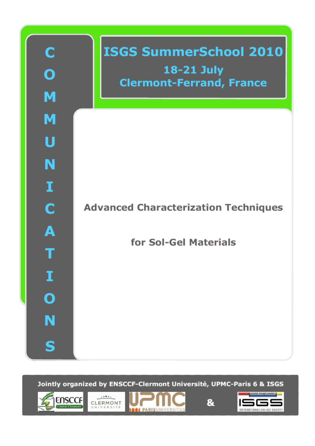

Jointly organized by ENSCCF-Clermont Université, UPMC-Paris 6 & ISGS